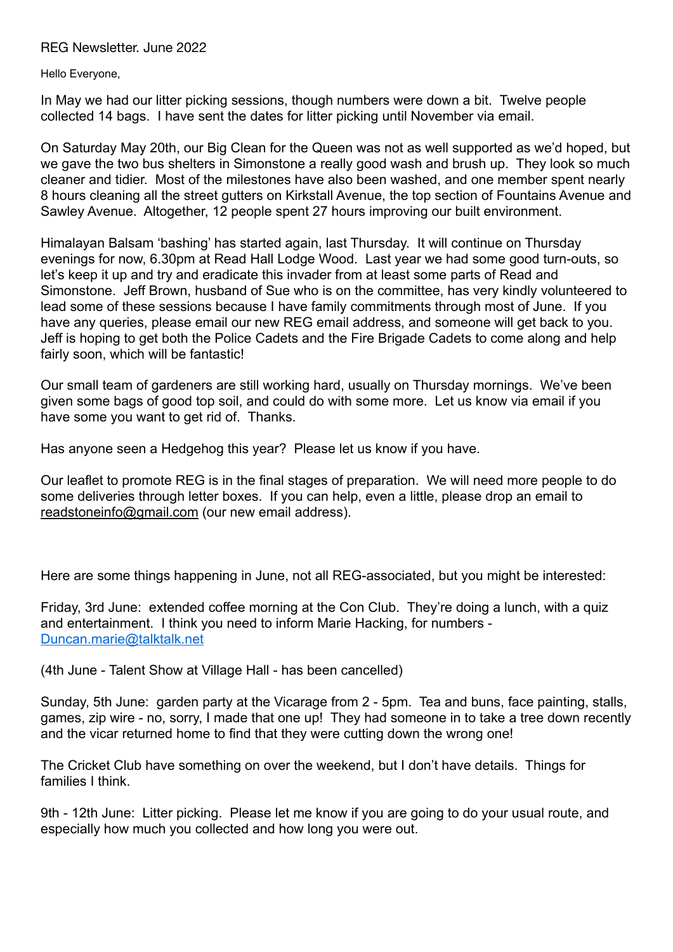REG Newsletter. June 2022

Hello Everyone,

In May we had our litter picking sessions, though numbers were down a bit. Twelve people collected 14 bags. I have sent the dates for litter picking until November via email.

On Saturday May 20th, our Big Clean for the Queen was not as well supported as we'd hoped, but we gave the two bus shelters in Simonstone a really good wash and brush up. They look so much cleaner and tidier. Most of the milestones have also been washed, and one member spent nearly 8 hours cleaning all the street gutters on Kirkstall Avenue, the top section of Fountains Avenue and Sawley Avenue. Altogether, 12 people spent 27 hours improving our built environment.

Himalayan Balsam 'bashing' has started again, last Thursday. It will continue on Thursday evenings for now, 6.30pm at Read Hall Lodge Wood. Last year we had some good turn-outs, so let's keep it up and try and eradicate this invader from at least some parts of Read and Simonstone. Jeff Brown, husband of Sue who is on the committee, has very kindly volunteered to lead some of these sessions because I have family commitments through most of June. If you have any queries, please email our new REG email address, and someone will get back to you. Jeff is hoping to get both the Police Cadets and the Fire Brigade Cadets to come along and help fairly soon, which will be fantastic!

Our small team of gardeners are still working hard, usually on Thursday mornings. We've been given some bags of good top soil, and could do with some more. Let us know via email if you have some you want to get rid of. Thanks.

Has anyone seen a Hedgehog this year? Please let us know if you have.

Our leaflet to promote REG is in the final stages of preparation. We will need more people to do some deliveries through letter boxes. If you can help, even a little, please drop an email to [readstoneinfo@gmail.com](mailto:readstoneinfo@gmail.com) (our new email address).

Here are some things happening in June, not all REG-associated, but you might be interested:

Friday, 3rd June: extended coffee morning at the Con Club. They're doing a lunch, with a quiz and entertainment. I think you need to inform Marie Hacking, for numbers - [Duncan.marie@talktalk.net](mailto:Duncan.marie@talktalk.net)

(4th June - Talent Show at Village Hall - has been cancelled)

Sunday, 5th June: garden party at the Vicarage from 2 - 5pm. Tea and buns, face painting, stalls, games, zip wire - no, sorry, I made that one up! They had someone in to take a tree down recently and the vicar returned home to find that they were cutting down the wrong one!

The Cricket Club have something on over the weekend, but I don't have details. Things for families I think.

9th - 12th June: Litter picking. Please let me know if you are going to do your usual route, and especially how much you collected and how long you were out.